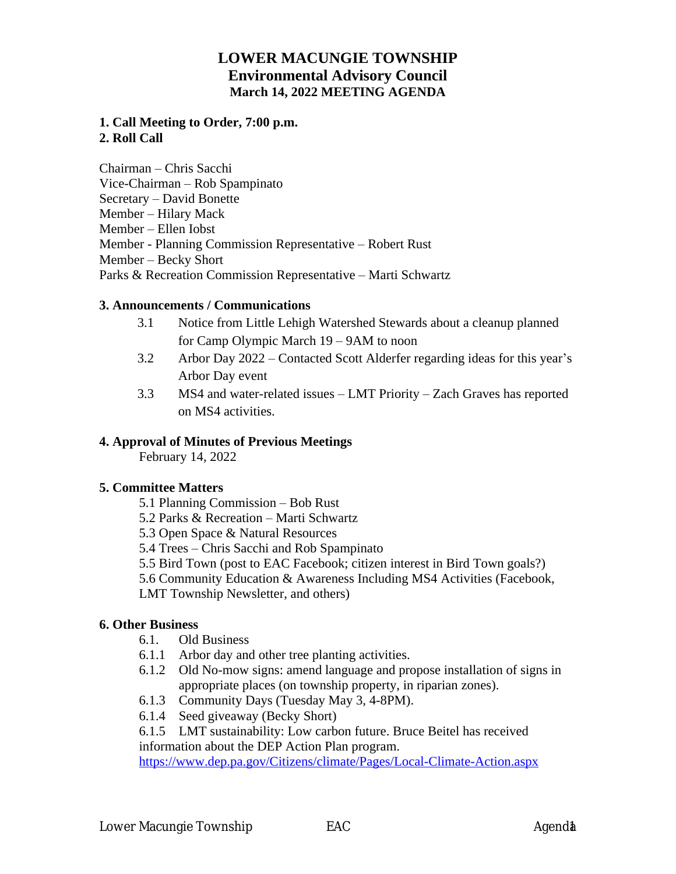## **LOWER MACUNGIE TOWNSHIP Environmental Advisory Council March 14, 2022 MEETING AGENDA**

### **1. Call Meeting to Order, 7:00 p.m. 2. Roll Call**

Chairman – Chris Sacchi Vice-Chairman – Rob Spampinato Secretary – David Bonette Member – Hilary Mack Member – Ellen Iobst Member - Planning Commission Representative – Robert Rust Member – Becky Short Parks & Recreation Commission Representative – Marti Schwartz

#### **3. Announcements / Communications**

- 3.1 Notice from Little Lehigh Watershed Stewards about a cleanup planned for Camp Olympic March 19 – 9AM to noon
- 3.2 Arbor Day 2022 Contacted Scott Alderfer regarding ideas for this year's Arbor Day event
- 3.3 MS4 and water-related issues LMT Priority Zach Graves has reported on MS4 activities.

### **4. Approval of Minutes of Previous Meetings**

February 14, 2022

### **5. Committee Matters**

- 5.1 Planning Commission Bob Rust
- 5.2 Parks & Recreation Marti Schwartz
- 5.3 Open Space & Natural Resources
- 5.4 Trees Chris Sacchi and Rob Spampinato
- 5.5 Bird Town (post to EAC Facebook; citizen interest in Bird Town goals?)
- 5.6 Community Education & Awareness Including MS4 Activities (Facebook,
- LMT Township Newsletter, and others)

### **6. Other Business**

- 6.1. Old Business
- 6.1.1 Arbor day and other tree planting activities.
- 6.1.2 Old No-mow signs: amend language and propose installation of signs in appropriate places (on township property, in riparian zones).
- 6.1.3 Community Days (Tuesday May 3, 4-8PM).
- 6.1.4 Seed giveaway (Becky Short)

#### 6.1.5 LMT sustainability: Low carbon future. Bruce Beitel has received information about the DEP Action Plan program.

<https://www.dep.pa.gov/Citizens/climate/Pages/Local-Climate-Action.aspx>